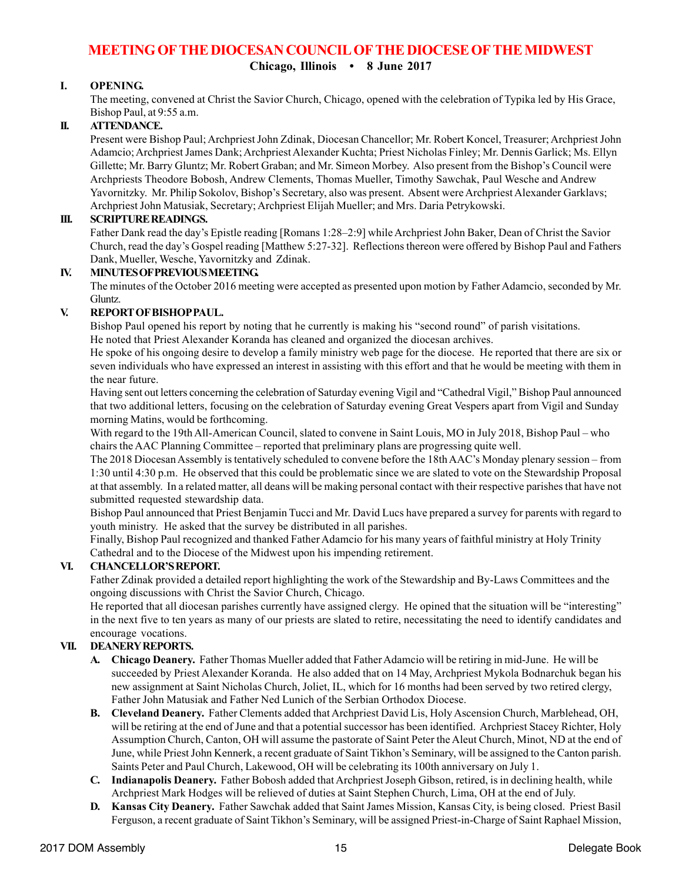# **MEETING OF THE DIOCESAN COUNCIL OF THE DIOCESE OF THE MIDWEST**

**Chicago, Illinois • 8 June 2017**

## **I. OPENING.**

The meeting, convened at Christ the Savior Church, Chicago, opened with the celebration of Typika led by His Grace, Bishop Paul, at 9:55 a.m.

## **II. ATTENDANCE.**

Present were Bishop Paul; Archpriest John Zdinak, Diocesan Chancellor; Mr. Robert Koncel, Treasurer; Archpriest John Adamcio; Archpriest James Dank; Archpriest Alexander Kuchta; Priest Nicholas Finley; Mr. Dennis Garlick; Ms. Ellyn Gillette; Mr. Barry Gluntz; Mr. Robert Graban; and Mr. Simeon Morbey. Also present from the Bishop's Council were Archpriests Theodore Bobosh, Andrew Clements, Thomas Mueller, Timothy Sawchak, Paul Wesche and Andrew Yavornitzky. Mr. Philip Sokolov, Bishop's Secretary, also was present. Absent were Archpriest Alexander Garklavs; Archpriest John Matusiak, Secretary; Archpriest Elijah Mueller; and Mrs. Daria Petrykowski.

## **III. SCRIPTURE READINGS.**

Father Dank read the day's Epistle reading [Romans 1:28–2:9] while Archpriest John Baker, Dean of Christ the Savior Church, read the day's Gospel reading [Matthew 5:27-32]. Reflections thereon were offered by Bishop Paul and Fathers Dank, Mueller, Wesche, Yavornitzky and Zdinak.

#### **IV. MINUTES OF PREVIOUS MEETING.**

The minutes of the October 2016 meeting were accepted as presented upon motion by Father Adamcio, seconded by Mr. Gluntz.

## **V. REPORT OF BISHOP PAUL.**

Bishop Paul opened his report by noting that he currently is making his "second round" of parish visitations. He noted that Priest Alexander Koranda has cleaned and organized the diocesan archives.

He spoke of his ongoing desire to develop a family ministry web page for the diocese. He reported that there are six or seven individuals who have expressed an interest in assisting with this effort and that he would be meeting with them in the near future.

Having sent out letters concerning the celebration of Saturday evening Vigil and "Cathedral Vigil," Bishop Paul announced that two additional letters, focusing on the celebration of Saturday evening Great Vespers apart from Vigil and Sunday morning Matins, would be forthcoming.

With regard to the 19th All-American Council, slated to convene in Saint Louis, MO in July 2018, Bishop Paul – who chairs the AAC Planning Committee – reported that preliminary plans are progressing quite well.

The 2018 Diocesan Assembly is tentatively scheduled to convene before the 18th AAC's Monday plenary session – from 1:30 until 4:30 p.m. He observed that this could be problematic since we are slated to vote on the Stewardship Proposal at that assembly. In a related matter, all deans will be making personal contact with their respective parishes that have not submitted requested stewardship data.

Bishop Paul announced that Priest Benjamin Tucci and Mr. David Lucs have prepared a survey for parents with regard to youth ministry. He asked that the survey be distributed in all parishes.

Finally, Bishop Paul recognized and thanked Father Adamcio for his many years of faithful ministry at Holy Trinity Cathedral and to the Diocese of the Midwest upon his impending retirement.

## **VI. CHANCELLOR'S REPORT.**

Father Zdinak provided a detailed report highlighting the work of the Stewardship and By-Laws Committees and the ongoing discussions with Christ the Savior Church, Chicago.

He reported that all diocesan parishes currently have assigned clergy. He opined that the situation will be "interesting" in the next five to ten years as many of our priests are slated to retire, necessitating the need to identify candidates and encourage vocations.

## **VII. DEANERY REPORTS.**

- **A. Chicago Deanery.** Father Thomas Mueller added that Father Adamcio will be retiring in mid-June. He will be succeeded by Priest Alexander Koranda. He also added that on 14 May, Archpriest Mykola Bodnarchuk began his new assignment at Saint Nicholas Church, Joliet, IL, which for 16 months had been served by two retired clergy, Father John Matusiak and Father Ned Lunich of the Serbian Orthodox Diocese.
- **B. Cleveland Deanery.** Father Clements added that Archpriest David Lis, Holy Ascension Church, Marblehead, OH, will be retiring at the end of June and that a potential successor has been identified. Archpriest Stacey Richter, Holy Assumption Church, Canton, OH will assume the pastorate of Saint Peter the Aleut Church, Minot, ND at the end of June, while Priest John Kennerk, a recent graduate of Saint Tikhon's Seminary, will be assigned to the Canton parish. Saints Peter and Paul Church, Lakewood, OH will be celebrating its 100th anniversary on July 1.
- **C. Indianapolis Deanery.** Father Bobosh added that Archpriest Joseph Gibson, retired, is in declining health, while Archpriest Mark Hodges will be relieved of duties at Saint Stephen Church, Lima, OH at the end of July.
- **D. Kansas City Deanery.** Father Sawchak added that Saint James Mission, Kansas City, is being closed. Priest Basil Ferguson, a recent graduate of Saint Tikhon's Seminary, will be assigned Priest-in-Charge of Saint Raphael Mission,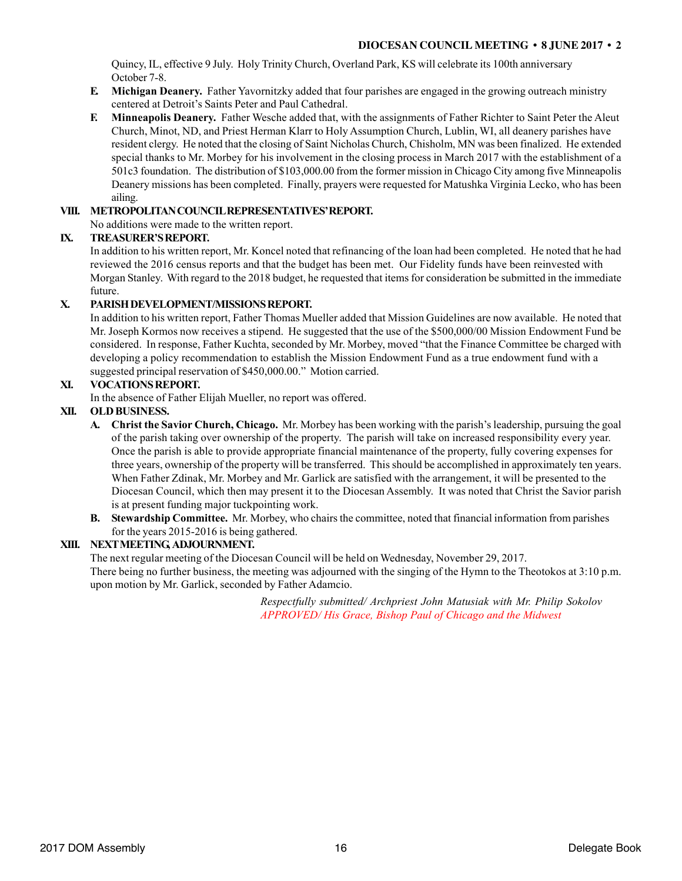Quincy, IL, effective 9 July. Holy Trinity Church, Overland Park, KS will celebrate its 100th anniversary October 7-8.

- **E. Michigan Deanery.** Father Yavornitzky added that four parishes are engaged in the growing outreach ministry centered at Detroit's Saints Peter and Paul Cathedral.
- **F. Minneapolis Deanery.** Father Wesche added that, with the assignments of Father Richter to Saint Peter the Aleut Church, Minot, ND, and Priest Herman Klarr to Holy Assumption Church, Lublin, WI, all deanery parishes have resident clergy. He noted that the closing of Saint Nicholas Church, Chisholm, MN was been finalized. He extended special thanks to Mr. Morbey for his involvement in the closing process in March 2017 with the establishment of a 501c3 foundation. The distribution of \$103,000.00 from the former mission in Chicago City among five Minneapolis Deanery missions has been completed. Finally, prayers were requested for Matushka Virginia Lecko, who has been ailing.

### **VIII. METROPOLITAN COUNCIL REPRESENTATIVES' REPORT.**

No additions were made to the written report.

#### **IX. TREASURER'S REPORT.**

In addition to his written report, Mr. Koncel noted that refinancing of the loan had been completed. He noted that he had reviewed the 2016 census reports and that the budget has been met. Our Fidelity funds have been reinvested with Morgan Stanley. With regard to the 2018 budget, he requested that items for consideration be submitted in the immediate future.

#### **X. PARISH DEVELOPMENT/MISSIONS REPORT.**

In addition to his written report, Father Thomas Mueller added that Mission Guidelines are now available. He noted that Mr. Joseph Kormos now receives a stipend. He suggested that the use of the \$500,000/00 Mission Endowment Fund be considered. In response, Father Kuchta, seconded by Mr. Morbey, moved "that the Finance Committee be charged with developing a policy recommendation to establish the Mission Endowment Fund as a true endowment fund with a suggested principal reservation of \$450,000.00." Motion carried.

#### **XI. VOCATIONS REPORT.**

In the absence of Father Elijah Mueller, no report was offered.

#### **XII. OLD BUSINESS.**

- **A. Christ the Savior Church, Chicago.** Mr. Morbey has been working with the parish's leadership, pursuing the goal of the parish taking over ownership of the property. The parish will take on increased responsibility every year. Once the parish is able to provide appropriate financial maintenance of the property, fully covering expenses for three years, ownership of the property will be transferred. This should be accomplished in approximately ten years. When Father Zdinak, Mr. Morbey and Mr. Garlick are satisfied with the arrangement, it will be presented to the Diocesan Council, which then may present it to the Diocesan Assembly. It was noted that Christ the Savior parish is at present funding major tuckpointing work.
- **B. Stewardship Committee.** Mr. Morbey, who chairs the committee, noted that financial information from parishes for the years 2015-2016 is being gathered.

#### **XIII. NEXT MEETING, ADJOURNMENT.**

The next regular meeting of the Diocesan Council will be held on Wednesday, November 29, 2017. There being no further business, the meeting was adjourned with the singing of the Hymn to the Theotokos at 3:10 p.m. upon motion by Mr. Garlick, seconded by Father Adamcio.

> *Respectfully submitted/ Archpriest John Matusiak with Mr. Philip Sokolov APPROVED/ His Grace, Bishop Paul of Chicago and the Midwest*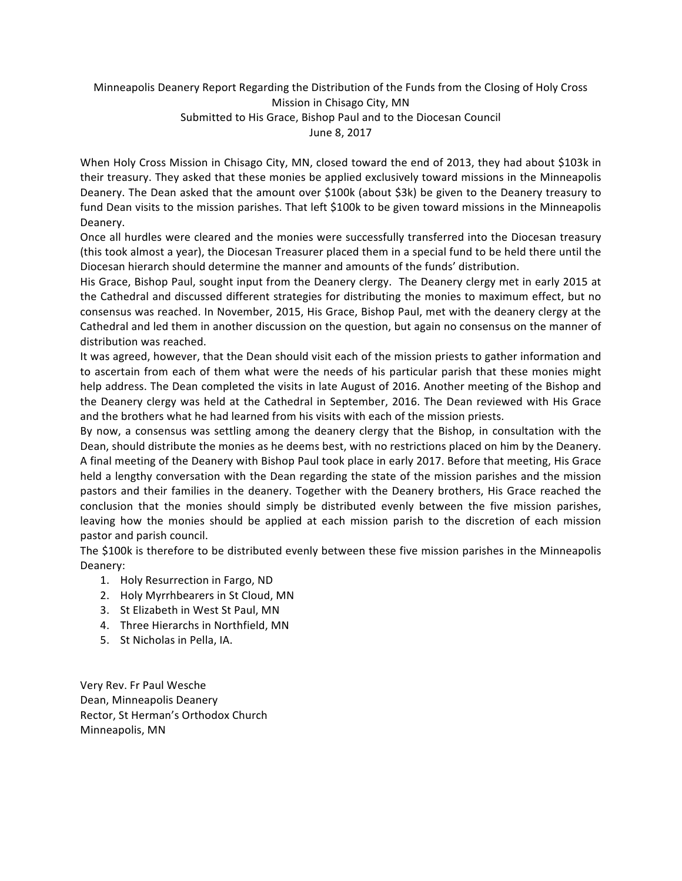# Minneapolis Deanery Report Regarding the Distribution of the Funds from the Closing of Holy Cross Mission in Chisago City, MN Submitted to His Grace, Bishop Paul and to the Diocesan Council June 8, 2017

When Holy Cross Mission in Chisago City, MN, closed toward the end of 2013, they had about \$103k in their treasury. They asked that these monies be applied exclusively toward missions in the Minneapolis Deanery. The Dean asked that the amount over \$100k (about \$3k) be given to the Deanery treasury to fund Dean visits to the mission parishes. That left \$100k to be given toward missions in the Minneapolis Deanery.

Once all hurdles were cleared and the monies were successfully transferred into the Diocesan treasury (this took almost a year), the Diocesan Treasurer placed them in a special fund to be held there until the Diocesan hierarch should determine the manner and amounts of the funds' distribution.

His Grace, Bishop Paul, sought input from the Deanery clergy. The Deanery clergy met in early 2015 at the Cathedral and discussed different strategies for distributing the monies to maximum effect, but no consensus was reached. In November, 2015, His Grace, Bishop Paul, met with the deanery clergy at the Cathedral and led them in another discussion on the question, but again no consensus on the manner of distribution was reached.

It was agreed, however, that the Dean should visit each of the mission priests to gather information and to ascertain from each of them what were the needs of his particular parish that these monies might help address. The Dean completed the visits in late August of 2016. Another meeting of the Bishop and the Deanery clergy was held at the Cathedral in September, 2016. The Dean reviewed with His Grace and the brothers what he had learned from his visits with each of the mission priests.

By now, a consensus was settling among the deanery clergy that the Bishop, in consultation with the Dean, should distribute the monies as he deems best, with no restrictions placed on him by the Deanery. A final meeting of the Deanery with Bishop Paul took place in early 2017. Before that meeting, His Grace held a lengthy conversation with the Dean regarding the state of the mission parishes and the mission pastors and their families in the deanery. Together with the Deanery brothers, His Grace reached the conclusion that the monies should simply be distributed evenly between the five mission parishes, leaving how the monies should be applied at each mission parish to the discretion of each mission pastor and parish council.

The \$100k is therefore to be distributed evenly between these five mission parishes in the Minneapolis Deanery:

- 1. Holy Resurrection in Fargo, ND
- 2. Holy Myrrhbearers in St Cloud, MN
- 3. St Elizabeth in West St Paul, MN
- 4. Three Hierarchs in Northfield, MN
- 5. St Nicholas in Pella, IA.

Very Rev. Fr Paul Wesche Dean, Minneapolis Deanery Rector, St Herman's Orthodox Church Minneapolis, MN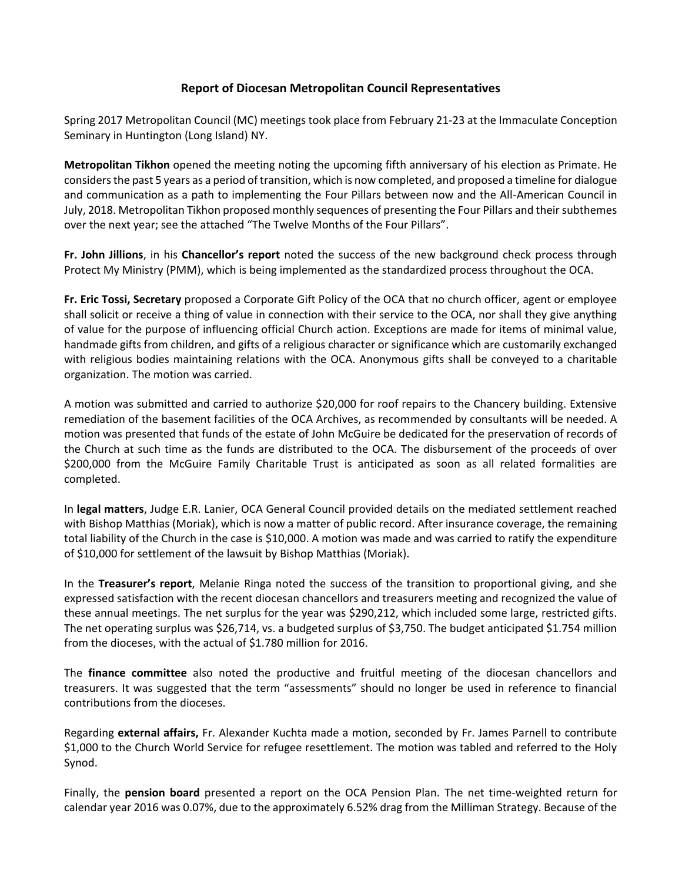## **Report of Diocesan Metropolitan Council Representatives**

Spring 2017 Metropolitan Council (MC) meetings took place from February 21-23 at the Immaculate Conception Seminary in Huntington (Long Island) NY.

**Metropolitan Tikhon** opened the meeting noting the upcoming fifth anniversary of his election as Primate. He considers the past 5 years as a period of transition, which is now completed, and proposed a timeline for dialogue and communication as a path to implementing the Four Pillars between now and the All-American Council in July, 2018. Metropolitan Tikhon proposed monthly sequences of presenting the Four Pillars and their subthemes over the next year; see the attached "The Twelve Months of the Four Pillars".

**Fr. John Jillions**, in his **Chancellor's report** noted the success of the new background check process through Protect My Ministry (PMM), which is being implemented as the standardized process throughout the OCA.

**Fr. Eric Tossi, Secretary** proposed a Corporate Gift Policy of the OCA that no church officer, agent or employee shall solicit or receive a thing of value in connection with their service to the OCA, nor shall they give anything of value for the purpose of influencing official Church action. Exceptions are made for items of minimal value, handmade gifts from children, and gifts of a religious character or significance which are customarily exchanged with religious bodies maintaining relations with the OCA. Anonymous gifts shall be conveyed to a charitable organization. The motion was carried.

A motion was submitted and carried to authorize \$20,000 for roof repairs to the Chancery building. Extensive remediation of the basement facilities of the OCA Archives, as recommended by consultants will be needed. A motion was presented that funds of the estate of John McGuire be dedicated for the preservation of records of the Church at such time as the funds are distributed to the OCA. The disbursement of the proceeds of over \$200,000 from the McGuire Family Charitable Trust is anticipated as soon as all related formalities are completed.

In **legal matters**, Judge E.R. Lanier, OCA General Council provided details on the mediated settlement reached with Bishop Matthias (Moriak), which is now a matter of public record. After insurance coverage, the remaining total liability of the Church in the case is \$10,000. A motion was made and was carried to ratify the expenditure of \$10,000 for settlement of the lawsuit by Bishop Matthias (Moriak).

In the **Treasurer's report**, Melanie Ringa noted the success of the transition to proportional giving, and she expressed satisfaction with the recent diocesan chancellors and treasurers meeting and recognized the value of these annual meetings. The net surplus for the year was \$290,212, which included some large, restricted gifts. The net operating surplus was \$26,714, vs. a budgeted surplus of \$3,750. The budget anticipated \$1.754 million from the dioceses, with the actual of \$1.780 million for 2016.

The **finance committee** also noted the productive and fruitful meeting of the diocesan chancellors and treasurers. It was suggested that the term "assessments" should no longer be used in reference to financial contributions from the dioceses.

Regarding **external affairs,** Fr. Alexander Kuchta made a motion, seconded by Fr. James Parnell to contribute \$1,000 to the Church World Service for refugee resettlement. The motion was tabled and referred to the Holy Synod.

Finally, the **pension board** presented a report on the OCA Pension Plan. The net time-weighted return for calendar year 2016 was 0.07%, due to the approximately 6.52% drag from the Milliman Strategy. Because of the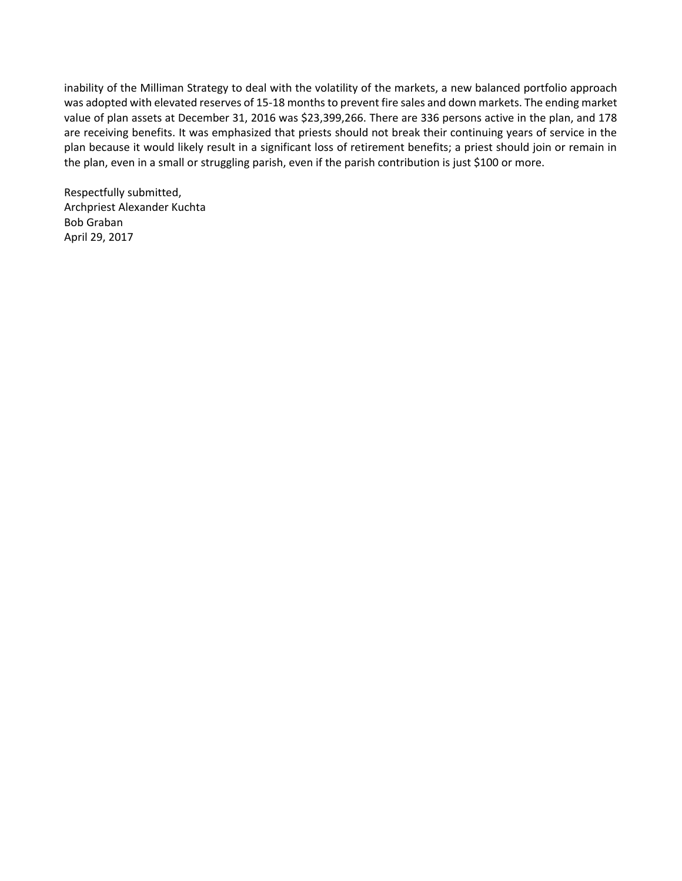inability of the Milliman Strategy to deal with the volatility of the markets, a new balanced portfolio approach was adopted with elevated reserves of 15-18 months to prevent fire sales and down markets. The ending market value of plan assets at December 31, 2016 was \$23,399,266. There are 336 persons active in the plan, and 178 are receiving benefits. It was emphasized that priests should not break their continuing years of service in the plan because it would likely result in a significant loss of retirement benefits; a priest should join or remain in the plan, even in a small or struggling parish, even if the parish contribution is just \$100 or more.

Respectfully submitted, Archpriest Alexander Kuchta Bob Graban April 29, 2017